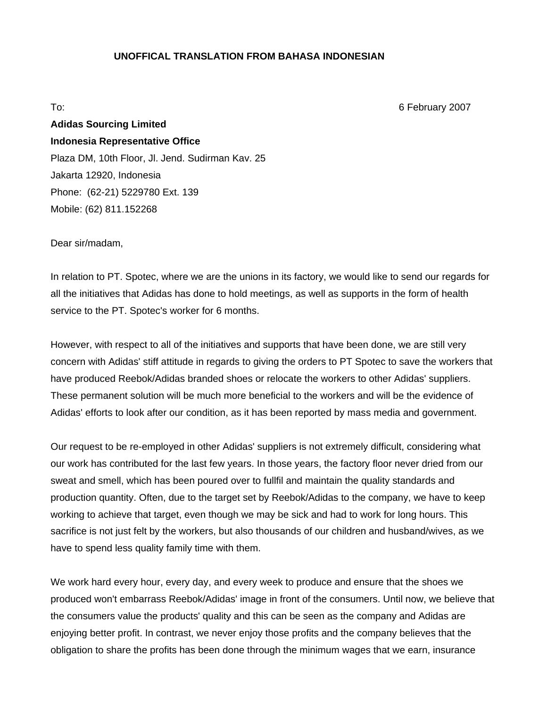### **UNOFFICAL TRANSLATION FROM BAHASA INDONESIAN**

To: 6 February 2007

# **Adidas Sourcing Limited Indonesia Representative Office**  Plaza DM, 10th Floor, Jl. Jend. Sudirman Kav. 25 Jakarta 12920, Indonesia Phone: (62-21) 5229780 Ext. 139 Mobile: (62) 811.152268

Dear sir/madam,

In relation to PT. Spotec, where we are the unions in its factory, we would like to send our regards for all the initiatives that Adidas has done to hold meetings, as well as supports in the form of health service to the PT. Spotec's worker for 6 months.

However, with respect to all of the initiatives and supports that have been done, we are still very concern with Adidas' stiff attitude in regards to giving the orders to PT Spotec to save the workers that have produced Reebok/Adidas branded shoes or relocate the workers to other Adidas' suppliers. These permanent solution will be much more beneficial to the workers and will be the evidence of Adidas' efforts to look after our condition, as it has been reported by mass media and government.

Our request to be re-employed in other Adidas' suppliers is not extremely difficult, considering what our work has contributed for the last few years. In those years, the factory floor never dried from our sweat and smell, which has been poured over to fullfil and maintain the quality standards and production quantity. Often, due to the target set by Reebok/Adidas to the company, we have to keep working to achieve that target, even though we may be sick and had to work for long hours. This sacrifice is not just felt by the workers, but also thousands of our children and husband/wives, as we have to spend less quality family time with them.

We work hard every hour, every day, and every week to produce and ensure that the shoes we produced won't embarrass Reebok/Adidas' image in front of the consumers. Until now, we believe that the consumers value the products' quality and this can be seen as the company and Adidas are enjoying better profit. In contrast, we never enjoy those profits and the company believes that the obligation to share the profits has been done through the minimum wages that we earn, insurance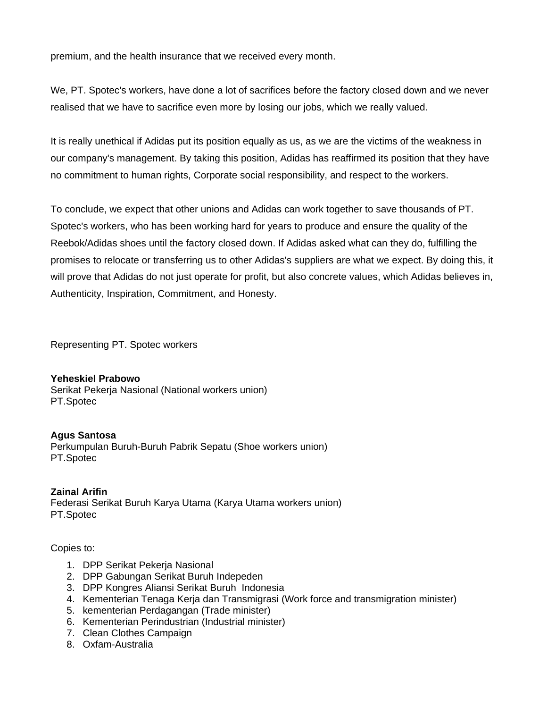premium, and the health insurance that we received every month.

We, PT. Spotec's workers, have done a lot of sacrifices before the factory closed down and we never realised that we have to sacrifice even more by losing our jobs, which we really valued.

It is really unethical if Adidas put its position equally as us, as we are the victims of the weakness in our company's management. By taking this position, Adidas has reaffirmed its position that they have no commitment to human rights, Corporate social responsibility, and respect to the workers.

To conclude, we expect that other unions and Adidas can work together to save thousands of PT. Spotec's workers, who has been working hard for years to produce and ensure the quality of the Reebok/Adidas shoes until the factory closed down. If Adidas asked what can they do, fulfilling the promises to relocate or transferring us to other Adidas's suppliers are what we expect. By doing this, it will prove that Adidas do not just operate for profit, but also concrete values, which Adidas believes in, Authenticity, Inspiration, Commitment, and Honesty.

Representing PT. Spotec workers

# **Yeheskiel Prabowo**

Serikat Pekerja Nasional (National workers union) PT.Spotec

# **Agus Santosa**

Perkumpulan Buruh-Buruh Pabrik Sepatu (Shoe workers union) PT.Spotec

**Zainal Arifin**  Federasi Serikat Buruh Karya Utama (Karya Utama workers union) PT.Spotec

### Copies to:

- 1. DPP Serikat Pekerja Nasional
- 2. DPP Gabungan Serikat Buruh Indepeden
- 3. DPP Kongres Aliansi Serikat Buruh Indonesia
- 4. Kementerian Tenaga Kerja dan Transmigrasi (Work force and transmigration minister)
- 5. kementerian Perdagangan (Trade minister)
- 6. Kementerian Perindustrian (Industrial minister)
- 7. Clean Clothes Campaign
- 8. Oxfam-Australia